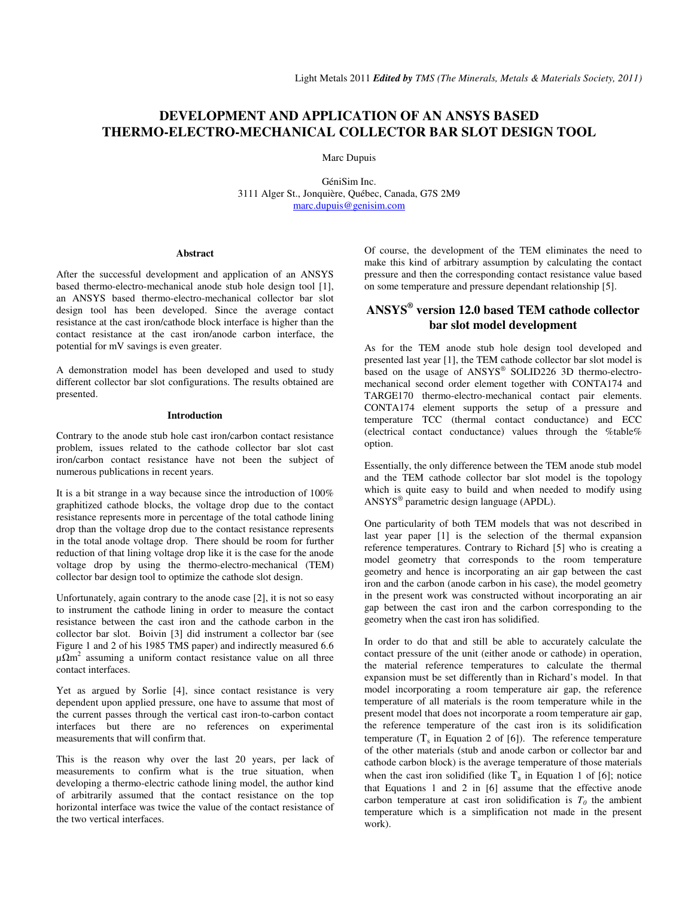# **DEVELOPMENT AND APPLICATION OF AN ANSYS BASED THERMO-ELECTRO-MECHANICAL COLLECTOR BAR SLOT DESIGN TOOL**

Marc Dupuis

GéniSim Inc. 3111 Alger St., Jonquière, Québec, Canada, G7S 2M9 marc.dupuis@genisim.com

### **Abstract**

After the successful development and application of an ANSYS based thermo-electro-mechanical anode stub hole design tool [1], an ANSYS based thermo-electro-mechanical collector bar slot design tool has been developed. Since the average contact resistance at the cast iron/cathode block interface is higher than the contact resistance at the cast iron/anode carbon interface, the potential for mV savings is even greater.

A demonstration model has been developed and used to study different collector bar slot configurations. The results obtained are presented.

## **Introduction**

Contrary to the anode stub hole cast iron/carbon contact resistance problem, issues related to the cathode collector bar slot cast iron/carbon contact resistance have not been the subject of numerous publications in recent years.

It is a bit strange in a way because since the introduction of 100% graphitized cathode blocks, the voltage drop due to the contact resistance represents more in percentage of the total cathode lining drop than the voltage drop due to the contact resistance represents in the total anode voltage drop. There should be room for further reduction of that lining voltage drop like it is the case for the anode voltage drop by using the thermo-electro-mechanical (TEM) collector bar design tool to optimize the cathode slot design.

Unfortunately, again contrary to the anode case [2], it is not so easy to instrument the cathode lining in order to measure the contact resistance between the cast iron and the cathode carbon in the collector bar slot. Boivin [3] did instrument a collector bar (see Figure 1 and 2 of his 1985 TMS paper) and indirectly measured 6.6  $\mu\Omega$ m<sup>2</sup> assuming a uniform contact resistance value on all three contact interfaces.

Yet as argued by Sorlie [4], since contact resistance is very dependent upon applied pressure, one have to assume that most of the current passes through the vertical cast iron-to-carbon contact interfaces but there are no references on experimental measurements that will confirm that.

This is the reason why over the last 20 years, per lack of measurements to confirm what is the true situation, when developing a thermo-electric cathode lining model, the author kind of arbitrarily assumed that the contact resistance on the top horizontal interface was twice the value of the contact resistance of the two vertical interfaces.

Of course, the development of the TEM eliminates the need to make this kind of arbitrary assumption by calculating the contact pressure and then the corresponding contact resistance value based on some temperature and pressure dependant relationship [5].

## **ANSYS® version 12.0 based TEM cathode collector bar slot model development**

As for the TEM anode stub hole design tool developed and presented last year [1], the TEM cathode collector bar slot model is based on the usage of ANSYS® SOLID226 3D thermo-electromechanical second order element together with CONTA174 and TARGE170 thermo-electro-mechanical contact pair elements. CONTA174 element supports the setup of a pressure and temperature TCC (thermal contact conductance) and ECC (electrical contact conductance) values through the %table% option.

Essentially, the only difference between the TEM anode stub model and the TEM cathode collector bar slot model is the topology which is quite easy to build and when needed to modify using ANSYS® parametric design language (APDL).

One particularity of both TEM models that was not described in last year paper [1] is the selection of the thermal expansion reference temperatures. Contrary to Richard [5] who is creating a model geometry that corresponds to the room temperature geometry and hence is incorporating an air gap between the cast iron and the carbon (anode carbon in his case), the model geometry in the present work was constructed without incorporating an air gap between the cast iron and the carbon corresponding to the geometry when the cast iron has solidified.

In order to do that and still be able to accurately calculate the contact pressure of the unit (either anode or cathode) in operation, the material reference temperatures to calculate the thermal expansion must be set differently than in Richard's model. In that model incorporating a room temperature air gap, the reference temperature of all materials is the room temperature while in the present model that does not incorporate a room temperature air gap, the reference temperature of the cast iron is its solidification temperature  $(T_s$  in Equation 2 of [6]). The reference temperature of the other materials (stub and anode carbon or collector bar and cathode carbon block) is the average temperature of those materials when the cast iron solidified (like  $T_a$  in Equation 1 of [6]; notice that Equations 1 and 2 in [6] assume that the effective anode carbon temperature at cast iron solidification is  $T_0$  the ambient temperature which is a simplification not made in the present work).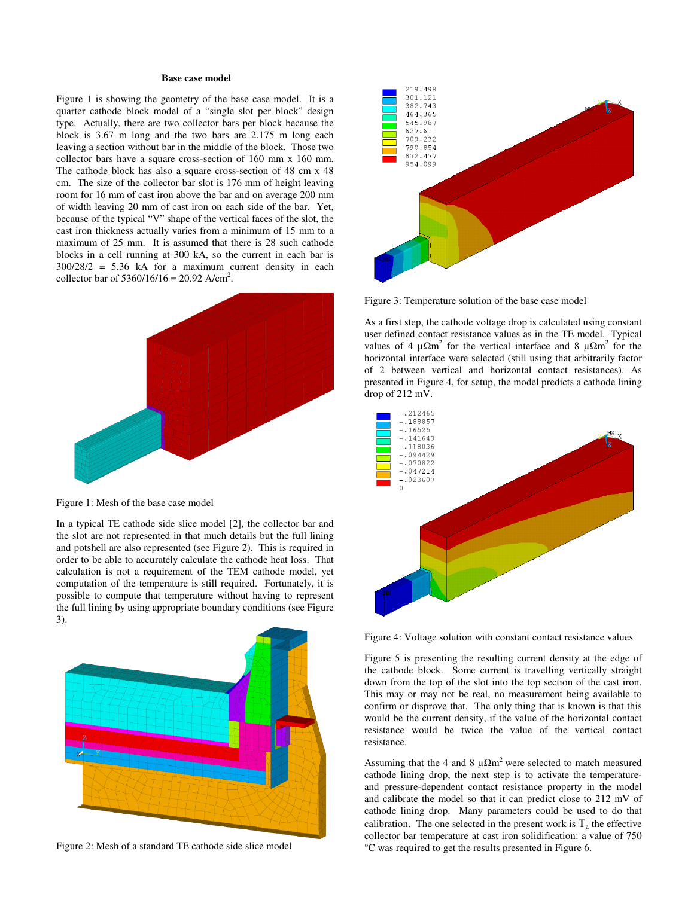## **Base case model**

Figure 1 is showing the geometry of the base case model. It is a quarter cathode block model of a "single slot per block" design type. Actually, there are two collector bars per block because the block is 3.67 m long and the two bars are 2.175 m long each leaving a section without bar in the middle of the block. Those two collector bars have a square cross-section of 160 mm x 160 mm. The cathode block has also a square cross-section of 48 cm x 48 cm. The size of the collector bar slot is 176 mm of height leaving room for 16 mm of cast iron above the bar and on average 200 mm of width leaving 20 mm of cast iron on each side of the bar. Yet, because of the typical "V" shape of the vertical faces of the slot, the cast iron thickness actually varies from a minimum of 15 mm to a maximum of 25 mm. It is assumed that there is 28 such cathode blocks in a cell running at 300 kA, so the current in each bar is 300/28/2 = 5.36 kA for a maximum current density in each collector bar of  $5360/16/16 = 20.92$  A/cm<sup>2</sup>.



Figure 1: Mesh of the base case model

In a typical TE cathode side slice model [2], the collector bar and the slot are not represented in that much details but the full lining and potshell are also represented (see Figure 2). This is required in order to be able to accurately calculate the cathode heat loss. That calculation is not a requirement of the TEM cathode model, yet computation of the temperature is still required. Fortunately, it is possible to compute that temperature without having to represent the full lining by using appropriate boundary conditions (see Figure 3).



Figure 2: Mesh of a standard TE cathode side slice model



Figure 3: Temperature solution of the base case model

As a first step, the cathode voltage drop is calculated using constant user defined contact resistance values as in the TE model. Typical values of 4  $\mu \Omega m^2$  for the vertical interface and 8  $\mu \Omega m^2$  for the horizontal interface were selected (still using that arbitrarily factor of 2 between vertical and horizontal contact resistances). As presented in Figure 4, for setup, the model predicts a cathode lining drop of 212 mV.



Figure 4: Voltage solution with constant contact resistance values

Figure 5 is presenting the resulting current density at the edge of the cathode block. Some current is travelling vertically straight down from the top of the slot into the top section of the cast iron. This may or may not be real, no measurement being available to confirm or disprove that. The only thing that is known is that this would be the current density, if the value of the horizontal contact resistance would be twice the value of the vertical contact resistance.

Assuming that the 4 and 8  $\mu \Omega m^2$  were selected to match measured cathode lining drop, the next step is to activate the temperatureand pressure-dependent contact resistance property in the model and calibrate the model so that it can predict close to 212 mV of cathode lining drop. Many parameters could be used to do that calibration. The one selected in the present work is  $T_a$  the effective collector bar temperature at cast iron solidification: a value of 750 °C was required to get the results presented in Figure 6.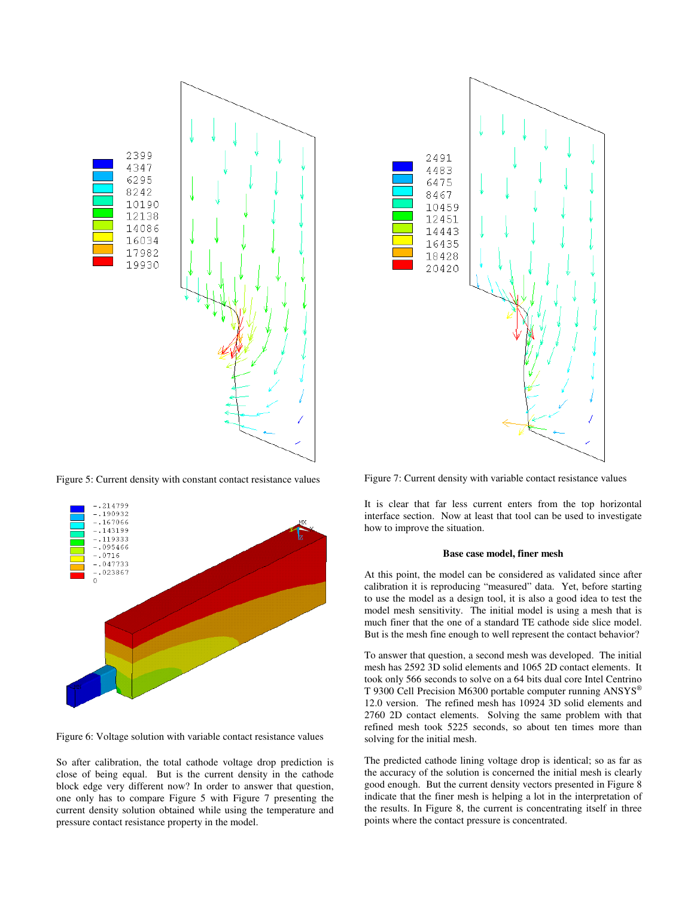

Figure 5: Current density with constant contact resistance values



Figure 6: Voltage solution with variable contact resistance values

So after calibration, the total cathode voltage drop prediction is close of being equal. But is the current density in the cathode block edge very different now? In order to answer that question, one only has to compare Figure 5 with Figure 7 presenting the current density solution obtained while using the temperature and pressure contact resistance property in the model.



Figure 7: Current density with variable contact resistance values

It is clear that far less current enters from the top horizontal interface section. Now at least that tool can be used to investigate how to improve the situation.

## **Base case model, finer mesh**

At this point, the model can be considered as validated since after calibration it is reproducing "measured" data. Yet, before starting to use the model as a design tool, it is also a good idea to test the model mesh sensitivity. The initial model is using a mesh that is much finer that the one of a standard TE cathode side slice model. But is the mesh fine enough to well represent the contact behavior?

To answer that question, a second mesh was developed. The initial mesh has 2592 3D solid elements and 1065 2D contact elements. It took only 566 seconds to solve on a 64 bits dual core Intel Centrino T 9300 Cell Precision M6300 portable computer running ANSYS® 12.0 version. The refined mesh has 10924 3D solid elements and 2760 2D contact elements. Solving the same problem with that refined mesh took 5225 seconds, so about ten times more than solving for the initial mesh.

The predicted cathode lining voltage drop is identical; so as far as the accuracy of the solution is concerned the initial mesh is clearly good enough. But the current density vectors presented in Figure 8 indicate that the finer mesh is helping a lot in the interpretation of the results. In Figure 8, the current is concentrating itself in three points where the contact pressure is concentrated.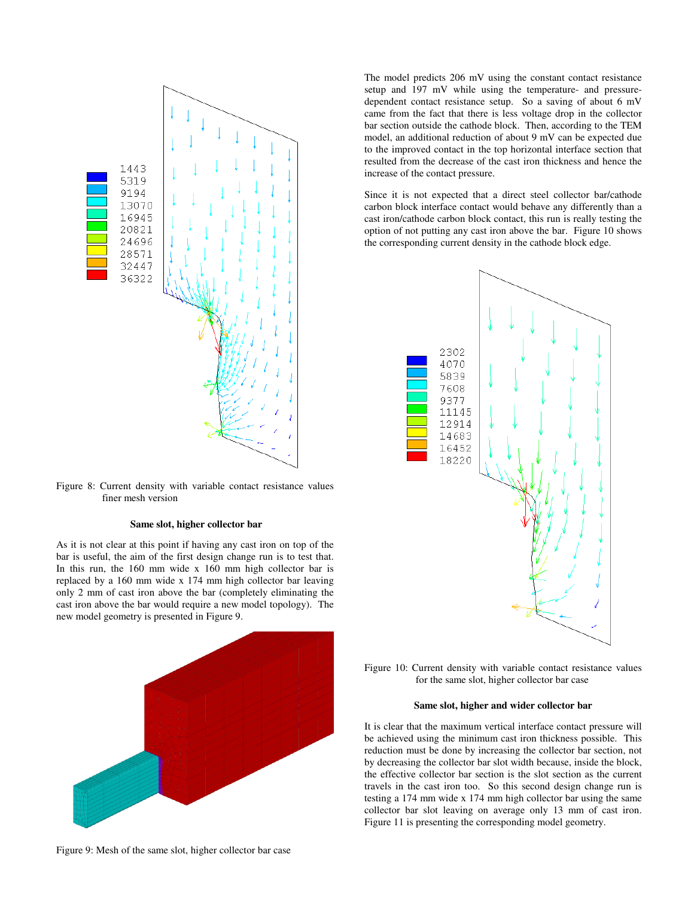

Figure 8: Current density with variable contact resistance values finer mesh version

## **Same slot, higher collector bar**

As it is not clear at this point if having any cast iron on top of the bar is useful, the aim of the first design change run is to test that. In this run, the 160 mm wide x 160 mm high collector bar is replaced by a 160 mm wide x 174 mm high collector bar leaving only 2 mm of cast iron above the bar (completely eliminating the cast iron above the bar would require a new model topology). The new model geometry is presented in Figure 9.



Figure 9: Mesh of the same slot, higher collector bar case

The model predicts 206 mV using the constant contact resistance setup and 197 mV while using the temperature- and pressuredependent contact resistance setup. So a saving of about 6 mV came from the fact that there is less voltage drop in the collector bar section outside the cathode block. Then, according to the TEM model, an additional reduction of about 9 mV can be expected due to the improved contact in the top horizontal interface section that resulted from the decrease of the cast iron thickness and hence the increase of the contact pressure.

Since it is not expected that a direct steel collector bar/cathode carbon block interface contact would behave any differently than a cast iron/cathode carbon block contact, this run is really testing the option of not putting any cast iron above the bar. Figure 10 shows the corresponding current density in the cathode block edge.



Figure 10: Current density with variable contact resistance values for the same slot, higher collector bar case

## **Same slot, higher and wider collector bar**

It is clear that the maximum vertical interface contact pressure will be achieved using the minimum cast iron thickness possible. This reduction must be done by increasing the collector bar section, not by decreasing the collector bar slot width because, inside the block, the effective collector bar section is the slot section as the current travels in the cast iron too. So this second design change run is testing a 174 mm wide x 174 mm high collector bar using the same collector bar slot leaving on average only 13 mm of cast iron. Figure 11 is presenting the corresponding model geometry.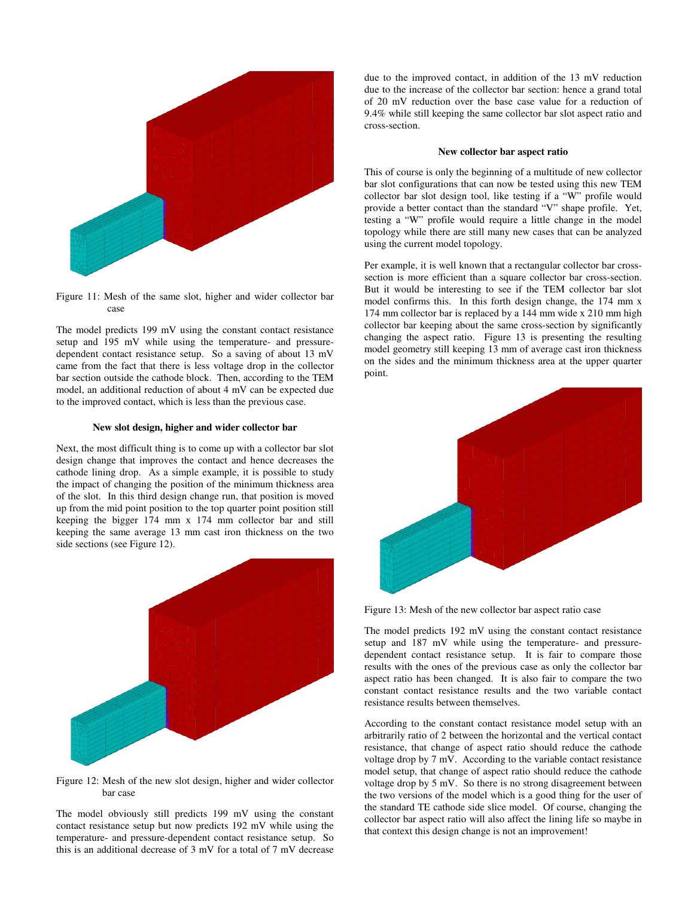



The model predicts 199 mV using the constant contact resistance setup and 195 mV while using the temperature- and pressuredependent contact resistance setup. So a saving of about 13 mV came from the fact that there is less voltage drop in the collector bar section outside the cathode block. Then, according to the TEM model, an additional reduction of about 4 mV can be expected due to the improved contact, which is less than the previous case.

## **New slot design, higher and wider collector bar**

Next, the most difficult thing is to come up with a collector bar slot design change that improves the contact and hence decreases the cathode lining drop. As a simple example, it is possible to study the impact of changing the position of the minimum thickness area of the slot. In this third design change run, that position is moved up from the mid point position to the top quarter point position still keeping the bigger 174 mm x 174 mm collector bar and still keeping the same average 13 mm cast iron thickness on the two side sections (see Figure 12).

![](_page_4_Figure_5.jpeg)

Figure 12: Mesh of the new slot design, higher and wider collector bar case

The model obviously still predicts 199 mV using the constant contact resistance setup but now predicts 192 mV while using the temperature- and pressure-dependent contact resistance setup. So this is an additional decrease of 3 mV for a total of 7 mV decrease

due to the improved contact, in addition of the 13 mV reduction due to the increase of the collector bar section: hence a grand total of 20 mV reduction over the base case value for a reduction of 9.4% while still keeping the same collector bar slot aspect ratio and cross-section.

#### **New collector bar aspect ratio**

This of course is only the beginning of a multitude of new collector bar slot configurations that can now be tested using this new TEM collector bar slot design tool, like testing if a "W" profile would provide a better contact than the standard "V" shape profile. Yet, testing a "W" profile would require a little change in the model topology while there are still many new cases that can be analyzed using the current model topology.

Per example, it is well known that a rectangular collector bar crosssection is more efficient than a square collector bar cross-section. But it would be interesting to see if the TEM collector bar slot model confirms this. In this forth design change, the 174 mm x 174 mm collector bar is replaced by a 144 mm wide x 210 mm high collector bar keeping about the same cross-section by significantly changing the aspect ratio. Figure 13 is presenting the resulting model geometry still keeping 13 mm of average cast iron thickness on the sides and the minimum thickness area at the upper quarter point.

![](_page_4_Figure_12.jpeg)

Figure 13: Mesh of the new collector bar aspect ratio case

The model predicts 192 mV using the constant contact resistance setup and 187 mV while using the temperature- and pressuredependent contact resistance setup. It is fair to compare those results with the ones of the previous case as only the collector bar aspect ratio has been changed. It is also fair to compare the two constant contact resistance results and the two variable contact resistance results between themselves.

According to the constant contact resistance model setup with an arbitrarily ratio of 2 between the horizontal and the vertical contact resistance, that change of aspect ratio should reduce the cathode voltage drop by 7 mV. According to the variable contact resistance model setup, that change of aspect ratio should reduce the cathode voltage drop by 5 mV. So there is no strong disagreement between the two versions of the model which is a good thing for the user of the standard TE cathode side slice model. Of course, changing the collector bar aspect ratio will also affect the lining life so maybe in that context this design change is not an improvement!